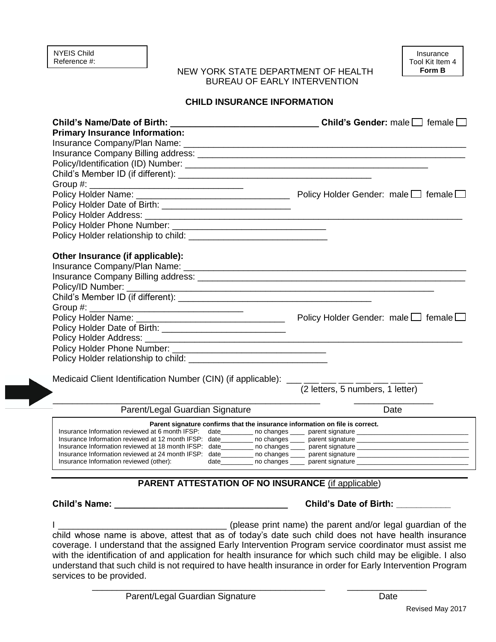## NEW YORK STATE DEPARTMENT OF HEALTH BUREAU OF EARLY INTERVENTION

## **CHILD INSURANCE INFORMATION**

| Child's Name/Date of Birth: $\Box$ Child's Gender: male $\Box$ female $\Box$<br><b>Primary Insurance Information:</b> |                                                                                  |  |  |
|-----------------------------------------------------------------------------------------------------------------------|----------------------------------------------------------------------------------|--|--|
|                                                                                                                       |                                                                                  |  |  |
|                                                                                                                       |                                                                                  |  |  |
|                                                                                                                       |                                                                                  |  |  |
|                                                                                                                       |                                                                                  |  |  |
|                                                                                                                       |                                                                                  |  |  |
|                                                                                                                       |                                                                                  |  |  |
|                                                                                                                       |                                                                                  |  |  |
|                                                                                                                       |                                                                                  |  |  |
|                                                                                                                       |                                                                                  |  |  |
|                                                                                                                       |                                                                                  |  |  |
|                                                                                                                       |                                                                                  |  |  |
| Other Insurance (if applicable):                                                                                      |                                                                                  |  |  |
|                                                                                                                       |                                                                                  |  |  |
|                                                                                                                       |                                                                                  |  |  |
|                                                                                                                       |                                                                                  |  |  |
|                                                                                                                       |                                                                                  |  |  |
|                                                                                                                       |                                                                                  |  |  |
|                                                                                                                       |                                                                                  |  |  |
|                                                                                                                       |                                                                                  |  |  |
|                                                                                                                       |                                                                                  |  |  |
|                                                                                                                       |                                                                                  |  |  |
|                                                                                                                       |                                                                                  |  |  |
|                                                                                                                       |                                                                                  |  |  |
| Medicaid Client Identification Number (CIN) (if applicable): ___ __ __ __ __ __ __ __ __                              |                                                                                  |  |  |
|                                                                                                                       | (2 letters, 5 numbers, 1 letter)                                                 |  |  |
|                                                                                                                       |                                                                                  |  |  |
| Parent/Legal Guardian Signature                                                                                       | Date                                                                             |  |  |
| Parent signature confirms that the insurance information on file is correct.                                          |                                                                                  |  |  |
|                                                                                                                       |                                                                                  |  |  |
|                                                                                                                       |                                                                                  |  |  |
|                                                                                                                       |                                                                                  |  |  |
| Insurance Information reviewed (other):                                                                               | date___________ no changes ______ parent signature _____________________________ |  |  |
| <b>PARENT ATTESTATION OF NO INSURANCE (if applicable)</b>                                                             |                                                                                  |  |  |
|                                                                                                                       |                                                                                  |  |  |
| Child's Name:                                                                                                         | <b>Child's Date of Birth:</b>                                                    |  |  |

I \_\_\_\_\_\_\_\_\_\_\_\_\_\_\_\_\_\_\_\_\_\_\_\_\_\_\_\_\_\_\_\_\_\_ (please print name) the parent and/or legal guardian of the child whose name is above, attest that as of today's date such child does not have health insurance coverage. I understand that the assigned Early Intervention Program service coordinator must assist me with the identification of and application for health insurance for which such child may be eligible. I also understand that such child is not required to have health insurance in order for Early Intervention Program services to be provided.

Parent/Legal Guardian Signature **Date** Date